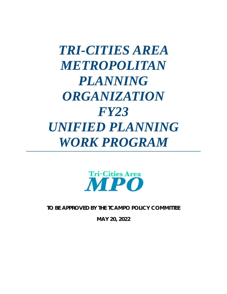# *TRI-CITIES AREA METROPOLITAN PLANNING ORGANIZATION FY23 UNIFIED PLANNING WORK PROGRAM*



*TO BE APPROVED BY THE TCAMPO POLICY COMMITTEE* 

*MAY 20, 2022*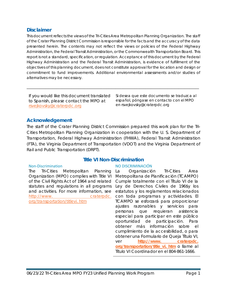## <span id="page-1-0"></span>**Disclaimer**

*This document reflects the views of the Tri-Cities Area Metropolitan Planning Organization. The staff of the Crater Planning District Commission is responsible for the facts and the accuracy of the data presented herein. The contents may not reflect the views or policies of the Federal Highway Administration, the Federal Transit Administration, or the Commonwealth Transportation Board. This report is not a standard, specification, or regulation. Acceptance of this document by the Federal Highway Administration and the Federal Transit Administration, is evidence of fulfillment of the objectives of this planning document, does not constitute approval for the location and design or commitment to fund improvements. Additional environmental assessments and/or studies of alternatives may be necessary.* 

*\_\_\_\_\_\_\_\_\_\_\_\_\_\_\_\_\_\_\_\_\_\_\_\_\_\_\_\_\_\_\_\_\_\_\_\_\_\_\_\_\_\_\_\_\_\_\_\_\_\_\_\_\_\_\_\_\_\_\_\_\_\_\_\_\_\_\_\_\_\_\_\_\_\_\_\_\_\_\_\_\_\_\_\_\_\_\_\_\_\_\_\_\_*

If you would like this document translated to Spanish, please contact the MPO at [rsvejkovsky@craterpdc.org](mailto:rsvejkovsky@craterpdc.org)

*Si desea que este documento se traduzca al español, póngase en contacto con el MPO en rsvejkovsky@craterpdc.org*

## <span id="page-1-1"></span>**Acknowledgement**

The staff of the Crater Planning District Commission prepared this work plan for the Tri-Cities Metropolitan Planning Organization in cooperation with the U. S. Department of Transportation, Federal Highway Administration (FHWA), Federal Transit Administration (FTA), the Virginia Department of Transportation (VDOT) and the Virginia Department of Rail and Public Transportation (DRPT).

#### <span id="page-1-2"></span>Non-Discrimination

The Tri-Cities Metropolitan Planning Organization (MPO) complies with Title VI of the Civil Rights Act of 1964 and related statutes and regulations in all programs and activities. For more information, see [http://www.](http://www/) craterpdc. org/transportation/titlevi. htm

## **Title VI Non-Discrimination**

#### NO DISCRIMINACIÓN

La Organización Tri-Cities Area Metropolitana de Planificación (TCAMPO) Cumple totalmente con el Título VI de la Ley de Derechos Civiles de 196\$y los estatutos y los reglamentos relacionados con toda programas y actividades. El TCAMPO se esforzará para proporcionar ajustes razonables y servicios para personas que requieran asistencia especial para participar en este público oportunidad de participación. Para obtener más información sobre el cumplimiento de la accesibilidad, o para obtener una Formulario de Queja Título VI, ver **[http://www. craterpdc.](http://www.craterpdc.org/transportation/title_vi.htm)  [org/transportation/title\\_vi. htm](http://www.craterpdc.org/transportation/title_vi.htm)** o llame al Título VI Coordinador en el 804-861-1666.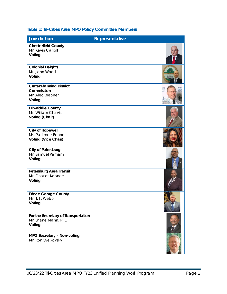## <span id="page-2-0"></span>**Table 1: Tri-Cities Area MPO Policy Committee Members**

| <b>Jurisdiction</b>                                                         | Representative |  |
|-----------------------------------------------------------------------------|----------------|--|
| <b>Chesterfield County</b><br>Mr. Kevin Carroll<br>Voting                   |                |  |
| <b>Colonial Heights</b><br>Mr. John Wood<br>Voting                          |                |  |
| <b>Crater Planning District</b><br>Commission<br>Mr. Alec Brebner<br>Voting |                |  |
| <b>Dinwiddie County</b><br>Mr. William Chavis<br>Voting (Chair)             |                |  |
| <b>City of Hopewell</b><br>Ms. Patience Bennett<br>Voting (Vice Chair)      |                |  |
| <b>City of Petersburg</b><br>Mr. Samuel Parham<br>Voting                    |                |  |
| Petersburg Area Transit<br>Mr. Charles Koonce<br>Voting                     |                |  |
| <b>Prince George County</b><br>Mr. T. J. Webb<br>Voting                     |                |  |
| For the Secretary of Transportation<br>Mr. Shane Mann, P. E.<br>Voting      |                |  |
| MPO Secretary - Non-voting<br>Mr. Ron Svejkovsky                            |                |  |

06/23/22 Tri-Cities Area MPO FY23 Unified Planning Work Program Page 2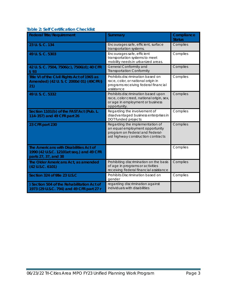<span id="page-3-0"></span>

| <b>Federal Title/Requirement</b>                                                                           | <b>Summary</b>                                                                                                                              | Compliance<br><b>Status</b> |
|------------------------------------------------------------------------------------------------------------|---------------------------------------------------------------------------------------------------------------------------------------------|-----------------------------|
| 23 U.S.C. 134                                                                                              | Encourages safe, efficient, surface<br>transportation systems.                                                                              | Complies                    |
| 49 U.S.C. 5303                                                                                             | Encourages safe, efficient<br>transportation systems to meet<br>mobility needs in urbanized areas.                                          | Complies                    |
| 42 U.S. C. 7504, 7506(c), 7506(d); 40 CFR<br>$\sqrt{5}$ 93                                                 | General Conformity and<br><b>Transportation Conformity</b>                                                                                  | Complies                    |
| Title VI of the Civil Rights Act of 1965 as<br>Amended) (42 U.S. C 2000d 01) (49CFR §<br>(21)              | Prohibits discrimination based on<br>race, color, or national origin in<br>programs receiving federal financial<br>assistance               | Complies                    |
| 49 U.S.C. 5332                                                                                             | Prohibits discrimination based upon<br>race, color creed, national origin, sex,<br>or age in employment or business<br>opportunity.         | Complies                    |
| Section 1101(b) of the FAST Act (Pub. L.<br>114-357) and 49 CFR part 26                                    | Regarding the involvement of<br>disadvantaged business enterprises in<br>DOT funded projects                                                | Complies                    |
| 23 CFR part 230                                                                                            | Regarding the implementation of<br>an equal employment opportunity<br>program on Federal and Federal-<br>aid highway construction contracts | Complies                    |
| The Americans with Disabilities Act of<br>1990 (42 U.S.C. 12101et seq.) and 49 CFR<br>parts 27, 37, and 38 |                                                                                                                                             | Complies                    |
| The Older Americans Act, as amended<br>(42 U.S.C. 6101)                                                    | Prohibiting discrimination on the basis<br>of age in programs or activities<br>receiving Federal financial assistance                       | Complies                    |
| Section 324 of title 23 U.S.C                                                                              | Prohibits Discrimination based on<br>gender                                                                                                 | Complies                    |
| ) Section 504 of the Rehabilitation Act of<br>1973 (29 U.S.C. 794) and 49 CFR part 27 r                    | regarding discrimination against<br>individuals with disabilities                                                                           |                             |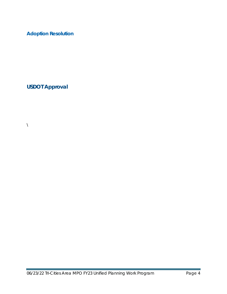# <span id="page-4-0"></span>**Adoption Resolution**

<span id="page-4-1"></span>**USDOT Approval**

 $\bar{\mathbf{X}}$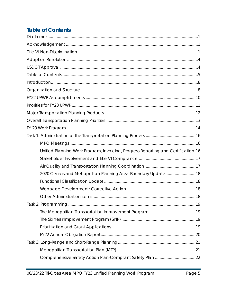# <span id="page-5-0"></span>**Table of Contents**

| Unified Planning Work Program, Invoicing, Progress Reporting and Certification.16 |  |
|-----------------------------------------------------------------------------------|--|
|                                                                                   |  |
|                                                                                   |  |
| 2020 Census and Metropolitan Planning Area Boundary Update18                      |  |
|                                                                                   |  |
|                                                                                   |  |
|                                                                                   |  |
|                                                                                   |  |
|                                                                                   |  |
|                                                                                   |  |
|                                                                                   |  |
|                                                                                   |  |
|                                                                                   |  |
|                                                                                   |  |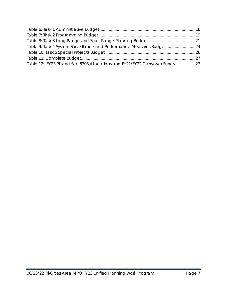| Table 9: Task 4 System Surveillance and Performance Measures Budget24      |  |
|----------------------------------------------------------------------------|--|
|                                                                            |  |
|                                                                            |  |
| Table 12: FY23 PL and Sec 5303 Allocations and FY21/FY22 Carryover Funds27 |  |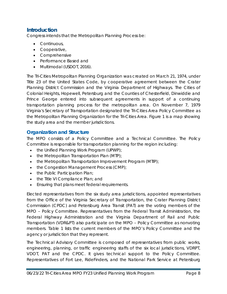## <span id="page-8-0"></span>**Introduction**

Congress intends that the Metropolitan Planning Process be:

- Continuous,
- Cooperative,
- Comprehensive
- Performance Based and
- Multimodal (USDOT, 2016).

The Tri-Cities Metropolitan Planning Organization was created on March 21, 1974, under Title 23 of the United States Code, by cooperative agreement between the Crater Planning District Commission and the Virginia Department of Highways. The Cities of Colonial Heights, Hopewell, Petersburg and the Counties of Chesterfield, Dinwiddie and Prince George entered into subsequent agreements in support of a continuing transportation planning process for the metropolitan area. On November 7, 1979 Virginia's Secretary of Transportation designated the Tri-Cities Area Policy Committee as the Metropolitan Planning Organization for the Tri-Cities Area. [Figure 1](#page-10-1) is a map showing the study area and the member jurisdictions.

## <span id="page-8-1"></span>**Organization and Structure**

The MPO consists of a Policy Committee and a Technical Committee. The Policy Committee is responsible for transportation planning for the region including:

- the Unified Planning Work Program (UPWP);
- the Metropolitan Transportation Plan (MTP);
- the Metropolitan Transportation Improvement Program (MTIP);
- the Congestion Management Process (CMP);
- the Public Participation Plan;
- the Title VI Compliance Plan; and
- Ensuring that plans meet federal requirements.

Elected representatives from the six study area jurisdictions, appointed representatives from the Office of the Virginia Secretary of Transportation, the Crater Planning District Commission (CPDC) and Petersburg Area Transit (PAT) are the voting members of the MPO – Policy Committee. Representatives from the Federal Transit Administration, the Federal Highway Administration and the Virginia Department of Rail and Public Transportation (VDR&PT) also participate on the MPO – Policy Committee as nonvoting members. Table 1 lists the current members of the MPO's Policy Committee and the agency or jurisdiction that they represent.

The Technical Advisory Committee is composed of representatives from public works, engineering, planning, or traffic engineering staffs of the six local jurisdictions, VDRPT, VDOT, PAT and the CPDC. It gives technical support to the Policy Committee. Representatives of Fort Lee, RideFinders, and the National Park Service at Petersburg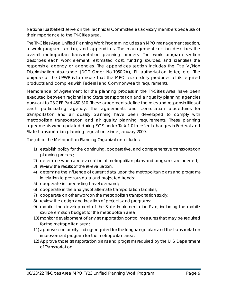National Battlefield serve on the Technical Committee as advisory members because of their importance to the Tri-Cities area.

The Tri-Cities Area Unified Planning Work Program includes an MPO management section, a work program section, and appendices. The management section describes the overall metropolitan transportation planning process. The work program section describes each work element, estimated cost, funding sources, and identifies the responsible agency or agencies. The appendices section includes the Title VI/Non Discrimination Assurance (DOT Order No.1050.2A), PL authorization letter, etc. *The purpose of the UPWP is to ensure that the MPO successfully produces all its required products and complies with Federal and Commonwealth requirements.* 

Memoranda of Agreement for the planning process in the Tri-Cities Area have been executed between regional and State transportation and air quality planning agencies pursuant to 23 CFR Part 450.310. These agreements define the roles and responsibilities of each participating agency. The agreements and consultation procedures for transportation and air quality planning have been developed to comply with metropolitan transportation and air quality planning requirements. These planning agreements were updated during FY19 under Task 1.0 to reflect changes in Federal and State transportation planning regulations since January 2009.

The job of the Metropolitan Planning Organization includes:

- 1) establish policy for the continuing, cooperative, and comprehensive transportation planning process;
- 2) determine when a re-evaluation of metropolitan plans and programs are needed;
- 3) review the results of the re-evaluation;
- 4) determine the influence of current data upon the metropolitan plans and programs in relation to previous data and projected trends;
- 5) cooperate in forecasting travel demand;
- 6) cooperate in the analysis of alternate transportation facilities;
- 7) cooperate on other work on the metropolitan transportation study;
- 8) review the design and location of projects and programs;
- 9) monitor the development of the State Implementation Plan, including the mobile source emission budget for the metropolitan area;
- 10) monitor development of any transportation control measures that may be required for the metropolitan area;
- 11) approve conformity findings required for the long-range plan and the transportation improvement program for the metropolitan area;
- 12) Approve those transportation plans and programs required by the U. S. Department of Transportation.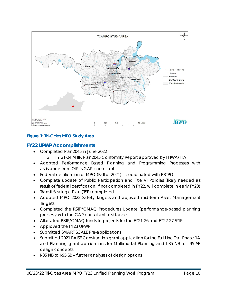

## <span id="page-10-1"></span>**Figure 1: Tri-Cities MPO Study Area**

## <span id="page-10-0"></span>**FY22 UPWP Accomplishments**

- Completed *Plan2045* in June 2022
	- o FFY 21-24 MTIP/Plan2045 Conformity Report approved by FHWA/FTA
- Adopted Performance Based Planning and Programming Processes with assistance from OIPI's GAP consultant
- Federal certification of MPO (Fall of 2021) coordinated with RRTPO
- Complete update of Public Participation and Title VI Policies (likely needed as result of federal certification; if not completed in FY22, will complete in early FY23)
- Transit Strategic Plan (TSP) completed
- Adopted MPO 2022 Safety Targets and adjusted mid-term Asset Management **Targets**
- Completed the RSTP/CMAQ Procedures Update (performance-based planning process) with the GAP consultant assistance
- Allocated RSTP/CMAQ funds to projects for the FY21-26 and FY22-27 SYIPs
- Approved the *FY23 UPWP*
- Submitted SMART SCALE Pre-applications
- Submitted 2021 RAISE Construction grant application for the Fall Line Trail Phase 1A and Planning grant applications for Multimodal Planning and I-85 NB to I-95 SB design concepts
- I-85 NB to I-95 SB further analyses of design options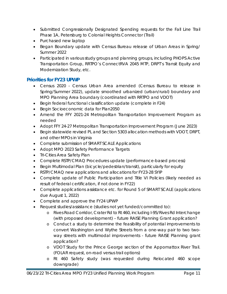- Submitted Congressionally Designated Spending requests for the Fall Line Trail Phase 1A, Petersburg to Colonial Heights Connector (Trail)
- Purchased new laptop
- Began Boundary update with Census Bureau release of Urban Areas in Spring/ Summer 2022
- Participated in various study groups and planning groups, including PHOPS Active Transportation Group, RRTPO's *ConnectRVA 2045* MTP, DRPT's *Transit Equity and Modernization Study*, etc.

## <span id="page-11-0"></span>**Priorities for FY23 UPWP**

- Census 2020 Census Urban Area amended (Census Bureau to release in Spring/Summer 2022), update smoothed urbanized (urban/rural) boundary and MPO Planning Area boundary (coordinated with RRTPO and VDOT)
- Begin federal functional classification update (complete in F24)
- Begin Socioeconomic data for *Plan2050*
- Amend the *FFY 2021-24 Metropolitan Transportation Improvement Program* as needed
- Adopt *FFY 24-27 Metropolitan Transportation Improvement Program (June 2023)*
- *Begin statewide revised PL and Section 5303 allocation methods with VDOT, DRPT, and other MPOs in Virginia*
- Complete submission of SMART SCALE Applications
- Adopt MPO 2023 Safety Performance Targets
- Tri-Cities Area Safety Plan
- Complete *RSTP/CMAQ Procedures* update (performance-based process)
- Begin Multimodal Plan (bicycle/pedestrian/transit), particularly for equity
- RSTP/CMAQ new applications and allocations for FY23-28 SYIP
- Complete update of Public Participation and Title VI Policies (likely needed as result of federal certification, if not done in FY22)
- Complete applications assistance etc. for Round 5 of SMART SCALE (applications due August 1, 2022)
- Complete and approve the *FY24 UPWP*
- Request studies/assistance (studies not yet funded/committed to):
	- o Rives Road Corridor, Crater Rd to Rt 460, including I-95/Rives Rd Interchange (with proposed development) – future RAISE Planning Grant application?
	- o Conduct a study to determine the feasibility of potential improvements to convert Washington and Wythe Streets from a one-way pair to two twoway streets with multimodal improvements - future RAISE Planning grant application?
	- o VDOT Study for the Prince George section of the Appomattox River Trail. (FOLAR request, on-road versus trail options)
	- o Rt 460 Safety study (was requested during Relocated 460 scope downgrade)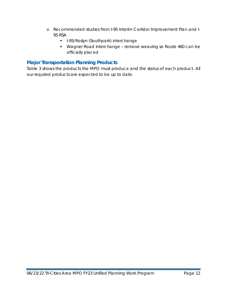- o Recommended studies from *I-95 Interim Corridor Improvement Plan and I-95 RSA*
	- **I-95/Roslyn (Southpark) interchange**
	- Wagner Road interchange remove weaving so Route 460 can be officially placed

## <span id="page-12-0"></span>**Major Transportation Planning Products**

Table 3 shows the products the MPO must produce and the status of each product. All our required products are expected to be up to date.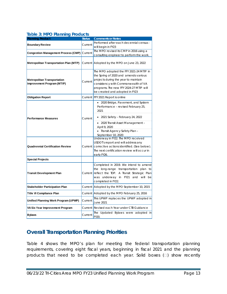## <span id="page-13-1"></span>**Table 3: MPO Planning Products**

| <b>Planning Product</b>                                          | <b>Status</b> | <b>Comments or Notes</b>                                                                                                                                                                                                                     |  |  |  |  |  |  |
|------------------------------------------------------------------|---------------|----------------------------------------------------------------------------------------------------------------------------------------------------------------------------------------------------------------------------------------------|--|--|--|--|--|--|
| <b>Boundary Review</b>                                           | Current       | Performed after each decennial census -                                                                                                                                                                                                      |  |  |  |  |  |  |
|                                                                  |               | will begin in FY23                                                                                                                                                                                                                           |  |  |  |  |  |  |
| <b>Congestion Management Process (CMP)</b>                       | Current       | The MPO revised its CMP in 2016 using a                                                                                                                                                                                                      |  |  |  |  |  |  |
|                                                                  |               | consulting engineer to perform the work.                                                                                                                                                                                                     |  |  |  |  |  |  |
| <b>Metropolitan Transportation Plan (MTP)</b>                    |               | Current Adopted by the MPO on June 23, 2022                                                                                                                                                                                                  |  |  |  |  |  |  |
| <b>Metropolitan Transportation</b><br>Improvement Program (MTIP) | Current       | The MPO adopted the FFY 2021-24 MTIP in<br>the Spring of 2020 and amends various<br>projects during the year to maintain<br>consistency with Commonwealth of VA<br>programs. The new FFY 2024-27 MTIP will<br>be created and adopted in FY23 |  |  |  |  |  |  |
| <b>Obligation Report</b>                                         |               | Current FFY 2021 Report is online                                                                                                                                                                                                            |  |  |  |  |  |  |
|                                                                  |               | • 2020 Bridge, Pavement, and System<br>Performance - revised February 25,<br>2021                                                                                                                                                            |  |  |  |  |  |  |
| <b>Performance Measures</b>                                      | Current       | • 2021 Safety - February 24, 2022                                                                                                                                                                                                            |  |  |  |  |  |  |
|                                                                  |               | • 2020 Transit Asset Management -<br>April 9, 2020<br>· Transit Agency Safety Plan-<br>September 10, 2020                                                                                                                                    |  |  |  |  |  |  |
| <b>Quadrennial Certification Review</b>                          | Current       | Underway in FY22. The MPO received<br>USDOT's report and will address any<br>corrective actions identified. (See below).<br>The next certification review will occur in<br>early FY26.                                                       |  |  |  |  |  |  |
| <b>Special Projects</b>                                          |               |                                                                                                                                                                                                                                              |  |  |  |  |  |  |
| <b>Transit Development Plan</b>                                  |               | Completed in 2019. We intend to amend<br>the long-range transportation plan to<br>Current reflect the TDP. A Transit Strategic Plan<br>was underway in FY21 and will be<br>completed in FY22.                                                |  |  |  |  |  |  |
| <b>Stakeholder Participation Plan</b>                            |               | Current Adopted by the MPO September 10, 2015                                                                                                                                                                                                |  |  |  |  |  |  |
| Title VI Compliance Plan                                         |               | Current Adopted by the MPO February 25, 2016                                                                                                                                                                                                 |  |  |  |  |  |  |
| Unified Planning Work Program (UPWP)                             | Current       | This UPWP replaces the UPWP adopted in<br>June 2021                                                                                                                                                                                          |  |  |  |  |  |  |
| VA Six Year Improvement Program                                  | Current       | Revised each Year under CTB Guidance                                                                                                                                                                                                         |  |  |  |  |  |  |
| <b>Bylaws</b>                                                    | Current       | The Updated Bylaws were adopted in<br>FY20.                                                                                                                                                                                                  |  |  |  |  |  |  |

## <span id="page-13-0"></span>**Overall Transportation Planning Priorities**

[Table 4](#page-14-2) shows the MPO's plan for meeting the federal transportation planning requirements, covering eight fiscal years, beginning in fiscal 2021 and the planning products that need to be completed each year. Solid boxes  $(\Box)$  show recently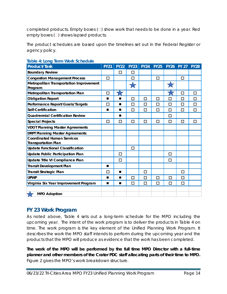completed products. Empty boxes  $(\Box)$  show work that needs to be done in a year. Red empty boxes  $(\square)$  shows lapsed products.

The product schedules are based upon the timelines set out in the Federal Register or agency policy.

| <b>READY TO EVITY TO THE VEHICLE OCTIVISHING</b><br>Product/Task | <b>FY21</b> | <b>FY22</b> | <b>FY23</b>              | <b>FY24</b> | <b>FY25</b> |        | FY26 FY 27 FY28 |        |
|------------------------------------------------------------------|-------------|-------------|--------------------------|-------------|-------------|--------|-----------------|--------|
| <b>Boundary Review</b>                                           |             | □           | $\Box$                   |             |             |        |                 |        |
| <b>Congestion Management Process</b>                             | $\Box$      |             | □                        |             | □           |        | □               |        |
| Metropolitan Transportation Improvement<br>Program               |             |             | $\overline{\mathcal{L}}$ |             |             |        |                 |        |
| Metropolitan Transportation Plan                                 | □           |             |                          |             |             |        | п               | $\Box$ |
| <b>Obligation Report</b>                                         | ■           | ٠           | □                        | П           | □           | П      | П               | П      |
| Performance Report/Goals/Targets                                 | П           | П           | □                        | п           | п           | □      | П               | П      |
| Self-Certification                                               | ■           | ■           | □                        | □           | □           | □      | П               | $\Box$ |
| <b>Quadrennial Certification Review</b>                          |             | ■           |                          |             |             | □      |                 |        |
| <b>Special Projects</b>                                          | ◻           | п           | □                        | ◻           | п           | п      | п               | П      |
| <b>VDOT Planning Master Agreements</b>                           |             |             |                          |             |             |        |                 |        |
| <b>DRPT Planning Master Agreements</b>                           |             |             |                          |             |             |        |                 |        |
| <b>Coordinated Human Services</b><br><b>Transportation Plan</b>  |             |             |                          |             |             |        |                 |        |
| <b>Update Functional Classification</b>                          |             |             | □                        |             |             |        |                 |        |
| Update Public Participation Plan                                 |             | □           |                          |             |             | □      |                 |        |
| Update Title VI Compliance Plan                                  |             | □           |                          |             |             | □      |                 |        |
| <b>Transit Development Plan</b>                                  | ■           |             |                          |             |             |        |                 |        |
| <b>Transit Strategic Plan</b>                                    | □           | ■           |                          | □           |             |        | П               |        |
| <b>UPWP</b>                                                      | ▬           | ■           | □                        | $\Box$      | □           | $\Box$ | П               |        |
| Virginia Six Year Improvement Program                            | П           | П           | □                        | □           | □           | □      | □               |        |
| <b>MPO Adoption</b>                                              |             |             |                          |             |             |        |                 |        |

## <span id="page-14-2"></span><span id="page-14-1"></span>**Table 4: Long Term Work Schedule**

## <span id="page-14-0"></span>**FY 23 Work Program**

As noted above, Table 4 sets out a long-term schedule for the MPO including the upcoming year. The intent of the work program is to deliver the products in Table 4 on time. The work program is the key element of the Unified Planning Work Program. It describes the work the MPO staff intends to perform during the upcoming year and the products that the MPO will produce as evidence that the work has been completed.

**The work of the MPO will be performed by the full time MPO Director with a full-time planner and other members of the Crater PDC staff allocating parts of their time to MPO.** Figure 2 gives the MPO's work breakdown structure.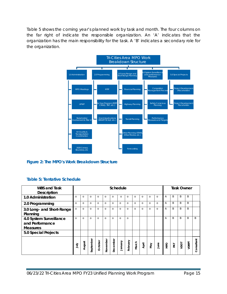[Table](#page-15-2) 5 shows the coming year's planned work by task and month. The four columns on the far right of indicate the responsible organization. An 'A' indicates that the organization has the main responsibility for the task. A 'B' indicates a secondary role for the organization.



## <span id="page-15-2"></span><span id="page-15-0"></span>**Figure 2: The MPO's Work Breakdown Structure**

### <span id="page-15-1"></span>**Table 5: Tentative Schedule**

| <b>WBS and Task</b><br><b>Description</b>                     | Schedule |          |           |          |          |          |          |          |          | <b>Task Owner</b> |          |             |            |              |      |              |            |
|---------------------------------------------------------------|----------|----------|-----------|----------|----------|----------|----------|----------|----------|-------------------|----------|-------------|------------|--------------|------|--------------|------------|
| 1.0 Administration                                            | $\Omega$ | $\Omega$ | $\Omega$  | $\Omega$ | $\Omega$ | $\Omega$ | $\Omega$ | $\Omega$ | $\Omega$ | $\Omega$          | $\Omega$ | $\Omega$    | А          | <sub>B</sub> | B    | <sub>B</sub> |            |
| 2.0 Programming                                               | $\Omega$ | $\Omega$ | $\Omega$  | $\Omega$ | $\Omega$ | $\Omega$ | $\Omega$ | $\Omega$ | $\Omega$ | $\Omega$          | $\Omega$ | $\Omega$    | A          | B            | B    | B            |            |
| 3.0 Long- and Short-Range<br>Planning                         | $\Omega$ | $\Omega$ | $\Omega$  | $\Omega$ | $\Omega$ | $\circ$  | $\Omega$ | $\Omega$ | $\Omega$ | $\Omega$          | $\Omega$ | $\Omega$    | A          | B            | B    | B            |            |
| 4.0 System Surveillance<br>and Performance<br><b>Measures</b> | $\Omega$ | $\Omega$ | $\Omega$  | $\Omega$ | $\Omega$ | $\Omega$ | $\Omega$ | $\Omega$ |          |                   |          |             | Α          | B            | B    | B            | B          |
| 5.0 Special Projects                                          |          |          |           |          |          |          |          |          |          |                   |          |             |            |              |      |              |            |
|                                                               | ਤ੍ਰੋ     | August   | September | October  | November | December | Vienuary | Phruary  | March    | April             | VeM      | <b>Sunc</b> | <b>OdM</b> | PAT          | ypot | VDRPT        | Consultant |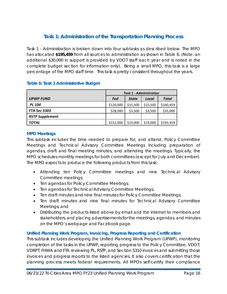## **Task 1: Administration of the Transportation Planning Process**

<span id="page-16-0"></span>Task 1 - Administration is broken down into four subtasks as described below. The MPO has allocated **\$195,459** from all sources to administration as shown in [Table 6.](#page-16-3) (N*ote: an additional \$30,000 in support is provided by VDOT staff each year and is noted in the complete budget section for information only).* Being a small MPO, this task is a large percentage of the MPO staff time. This task is pretty consistent throughout the years.

|                        | <b>Task 1 - Administration</b> |              |          |              |  |  |  |  |
|------------------------|--------------------------------|--------------|----------|--------------|--|--|--|--|
| <b>UPWP FUND</b>       | Fed                            | <b>State</b> | Local    | <b>Total</b> |  |  |  |  |
| <b>PL 104</b>          | \$120,000                      | \$15,500     | \$15,500 | \$160,459    |  |  |  |  |
| <b>FTA Sec 5303</b>    | \$28,000                       | \$3,500      | \$3,500  | \$35,000     |  |  |  |  |
| <b>RSTP Supplement</b> |                                |              |          |              |  |  |  |  |
| <b>TOTAL</b>           | \$152,000                      | \$19,000     | \$19,000 | \$195,459    |  |  |  |  |

### <span id="page-16-3"></span>**Table 6: Task 1 Administrative Budget**

### <span id="page-16-1"></span>**MPO Meetings**

This subtask includes the time needed to prepare for, and attend, Policy Committee Meetings and Technical Advisory Committee Meetings including preparation of agendas, draft and final meeting minutes, and attending the meetings. Typically, the MPO schedules monthly meetings for both committees (except for July and December). The MPO expects to produce the following products from this task:

- Attending ten Policy Committee meetings and nine Technical Advisory Committee meetings;
- Ten agendas for Policy Committee Meetings;
- Ten agendas for Technical Advisory Committee Meetings;
- Ten draft minutes and nine final minutes for Policy Committee Meetings;
- Ten draft minutes and nine final minutes for Technical Advisory Committee Meetings; and
- Distributing the products listed above by email and the internet to members and stakeholders, and placing advertisements for the meetings, agendas, and minutes on the MPO's webpage and Facebook page.

### <span id="page-16-2"></span>**Unified Planning Work Program, Invoicing, Progress Reporting and Certification**

This subtask includes developing the Unified Planning Work Program (UPWP), monitoring completion of the tasks in the UPWP, reporting progress to the Policy Committee, VDOT, VDRPT, FHWA and FTA reviewing PL, RSTP, and Section 5310 invoices and submitting those invoices and progress reports to the listed agencies. It also covers certification that the planning process meets federal requirements. All MPOs self-certify their compliance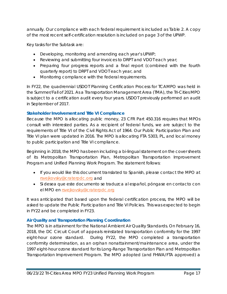annually. Our compliance with each federal requirement is included as Table 2. A copy of the most recent self-certification resolution is included on page 3 of the UPWP.

Key tasks for the Subtask are:

- Developing, monitoring and amending each year's UPWP;
- Reviewing and submitting four invoices to DRPT and VDOT each year;
- Preparing four progress reports and a final report (combined with the fourth quarterly report) to DRPT and VDOT each year, and
- Monitoring compliance with the federal requirements.

In FY22, the quadrennial USDOT Planning Certification Process for TCAMPO was held in the Summer/Fall of 2021. As a Transportation Management Area (TMA), the Tri-Cities MPO is subject to a certification audit every four years. USDOT previously performed an audit in September of 2017.

## <span id="page-17-0"></span>**Stakeholder Involvement and Title VI Compliance**

Because the MPO is allocating public money, 23 CFR Part 450.316 requires that MPOs consult with interested parties. As a recipient of federal funds, we are subject to the requirements of Title VI of the Civil Rights Act of 1964. Our Public Participation Plan and Title VI plan were updated in 2016. The MPO is allocating FTA 5303, PL, and local money to public participation and Title VI compliance.

Beginning in 2018, the MPO has been including a bi-lingual statement on the cover sheets of its Metropolitan Transportation Plan, Metropolitan Transportation Improvement Program and Unified Planning Work Program. The statement follows:

- If you would like this document translated to Spanish, please contact the MPO at [rsvejkovsky@craterpdc.org](file://crater-pdc/common%20files/Ron/UPWP/FY21%20UPWP/rsvejkovsky@craterpdc.org%20) and
- *Si desea que este documento se traduzca al español, póngase en contacto con el MPO en* [rsvejkovsky@craterpdc.org](file://crater-pdc/common%20files/Ron/UPWP/FY21%20UPWP/rsvejkovsky@craterpdc.org%20)

It was anticipated that based upon the federal certification process, the MPO will be asked to update the Public Participation and Title VI Policies. This was expected to begin in FY22 and be completed in FY23.

## <span id="page-17-1"></span>**Air Quality and Transportation Planning Coordination**

The MPO is in attainment for the National Ambient Air Quality Standards. On February 16, 2018, the DC Circuit Court of appeals reinstated transportation conformity for the 1997 eight-hour ozone standard. During FY22, the MPO completed a transportation conformity determination, as an orphan nonattainment/maintenance area, under the 1997 eight-hour ozone standard for its Long-Range Transportation Plan and Metropolitan Transportation Improvement Program. The MPO adopted (and FHWA/FTA approved) a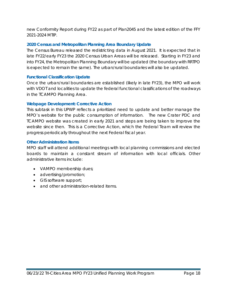new *Conformity Report* during FY22 as part of *Plan2045* and the latest edition of the *FFY 2021-2024 MTIP*.

### <span id="page-18-0"></span>**2020 Census and Metropolitan Planning Area Boundary Update**

The Census Bureau released the redistricting data in August 2021. It is expected that in late FY22/early FY23 the 2020 Census Urban Areas will be released. Starting in FY23 and into FY24, the Metropolitan Planning Boundary will be updated (the boundary with RRTPO is expected to remain the same). The urban/rural boundaries will also be updated.

#### <span id="page-18-1"></span>**Functional Classification Update**

Once the urban/rural boundaries are established (likely in late FY23), the MPO will work with VDOT and localities to update the federal functional classifications of the roadways in the TCAMPO Planning Area.

#### <span id="page-18-2"></span>**Webpage Development: Corrective Action**

This subtask in this UPWP reflects a prioritized need to update and better manage the MPO's website for the public consumption of information. The new Crater PDC and TCAMPO website was created in early 2021 and steps are being taken to improve the website since then. This is a Corrective Action, which the Federal Team will review the progress periodically throughout the next Federal fiscal year.

#### <span id="page-18-3"></span>**Other Administration items**

MPO staff will attend additional meetings with local planning commissions and elected boards to maintain a constant stream of information with local officials. Other administrative items include:

- VAMPO membership dues;
- advertising/promotion;
- GIS software support;
- and other administration-related items.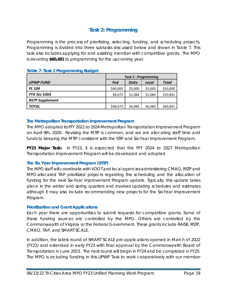## **Task 2: Programming**

<span id="page-19-0"></span>Programming is the process of prioritizing, selecting, funding, and scheduling projects. Programming is divided into three subtasks discussed below and shown in [Table 7.](#page-19-4) This task also includes applying for and assisting member with competitive grants. The MPO is devoting **\$60,481** to programming for the upcoming year.

|                        | Task 2 - Programming |              |         |              |  |  |  |
|------------------------|----------------------|--------------|---------|--------------|--|--|--|
| <b>UPWP FUND</b>       | Fed                  | <b>State</b> | Local   | <b>Total</b> |  |  |  |
| <b>PL 104</b>          | \$40,000             | \$5,000      | \$5,000 | \$50,000     |  |  |  |
| <b>FTA Sec 5303</b>    | \$8,673              | \$1,084      | \$1,084 | \$10,841     |  |  |  |
| <b>RSTP Supplement</b> |                      |              |         |              |  |  |  |
| TOTAL                  | \$48,673             | \$6,084      | \$6,084 | \$60,841     |  |  |  |

#### <span id="page-19-4"></span>**Table 7: Task 2 Programming Budget**

#### <span id="page-19-1"></span>**The Metropolitan Transportation Improvement Program**

The MPO adopted its *FFY 2021 to 2024 Metropolitan Transportation Improvement Program* on April 9th, 2020. Revising the MTIP is common, and we are allocating staff time and funds to keeping the MTIP consistent with the STIP and Six-Year Improvement Program.

*FY23 Major Task:* In FY23, it is expected that the FFY 2024 to 2027 Metropolitan Transportation Improvement Program will be developed and adopted.

### <span id="page-19-2"></span>**The Six Year Improvement Program (SYIP)**

The MPO staff will coordinate with VDOT and local agencies administering CMAQ, RSTP and MPO-allocated TAP prioritized projects regarding the scheduling and the allocation of funding for the next Six-Year improvement Program update. Typically, this update takes place in the winter and spring quarters and involves updating schedules and estimates although it may also include recommending new projects for the Six-Year Improvement Program.

### <span id="page-19-3"></span>**Prioritization and Grant Applications**

Each year there are opportunities to submit requests for competitive grants. Some of these funding sources are controlled by the MPO. Others are controlled by the Commonwealth of Virginia or the Federal Government. These grants include RAISE, RSTP, CMAQ, TAP, and SMART SCALE.

In addition, the latest round of SMART SCALE pre-applications opened in March of 2022 (FY22) and extended in early FY23 with final approval by the Commonwealth Board of Transportation in June 2023. The next round will begin in FY24 and be completed in FY25. The MPO is including funding in this UPWP Task to work cooperatively with our member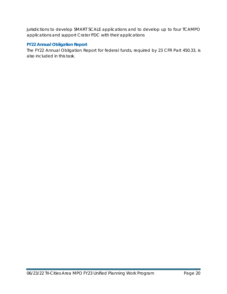jurisdictions to develop SMART SCALE applications and to develop up to four TCAMPO applications and support Crater PDC with their applications

## <span id="page-20-0"></span>**FY22 Annual Obligation Report**

The FY22 Annual Obligation Report for federal funds, required by 23 CFR Part 450.33, is also included in this task.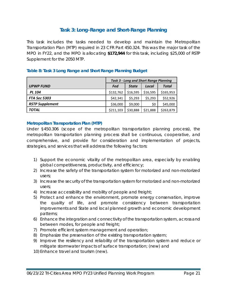## **Task 3: Long-Range and Short-Range Planning**

<span id="page-21-0"></span>This task includes the tasks needed to develop and maintain the Metropolitan Transportation Plan (MTP) required in 23 CFR Part 450.324. This was the major task of the MPO in FY22, and the MPO is allocating **\$172,944** for this task, including \$25,000 of RSTP Supplement for the 2050 MTP.

|                        | Task 3 - Long and Short Range Planning       |          |          |           |  |  |  |  |
|------------------------|----------------------------------------------|----------|----------|-----------|--|--|--|--|
| <b>UPWP FUND</b>       | <b>Total</b><br>Fed<br><b>State</b><br>Local |          |          |           |  |  |  |  |
| <b>PL 104</b>          | \$132,762                                    | \$16,595 | \$16,595 | \$165,953 |  |  |  |  |
| <b>FTA Sec 5303</b>    | \$42,341                                     | \$5,293  | \$5,293  | \$52,926  |  |  |  |  |
| <b>RSTP Supplement</b> | \$36,000                                     | \$9,000  | \$0      | \$45,000  |  |  |  |  |
| <b>TOTAL</b>           | \$211,103                                    | \$30,888 | \$21,888 | \$263,879 |  |  |  |  |

## <span id="page-21-2"></span>**Table 8: Task 3 Long Range and Short Range Planning Budget**

#### <span id="page-21-1"></span>**Metropolitan Transportation Plan (MTP)**

Under §450.306 (scope of the metropolitan transportation planning process), the metropolitan transportation planning process shall be continuous, cooperative, and comprehensive, and provide for consideration and implementation of projects, strategies, and services that will address the following factors:

- 1) Support the economic vitality of the metropolitan area, especially by enabling global competitiveness, productivity, and efficiency;
- 2) Increase the safety of the transportation system for motorized and non-motorized users;
- 3) Increase the security of the transportation system for motorized and non-motorized users;
- 4) Increase accessibility and mobility of people and freight;
- 5) Protect and enhance the environment, promote energy conservation, improve the quality of life, and promote consistency between transportation improvements and State and local planned growth and economic development patterns;
- 6) Enhance the integration and connectivity of the transportation system, across and between modes, for people and freight;
- 7) Promote efficient system management and operation;
- 8) Emphasize the preservation of the existing transportation system;
- 9) Improve the resiliency and reliability of the transportation system and reduce or mitigate stormwater impacts of surface transportation; (new) and
- 10) Enhance travel and tourism (new).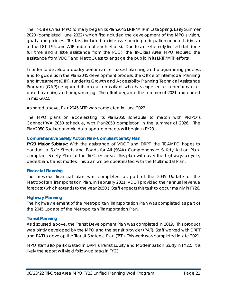The Tri-Cities Area MPO formally began its *Plan2045* LRTP/MTP in Late Spring/Early Summer 2020 (completed June 2022) which first included the development of the MPO's vision, goals, and policies. This task included an intensive public participation outreach (similar to the I-81, I-95, and ATP public outreach efforts). Due to an extremely limited staff (one full time and a little assistance from the PDC), the Tri-Cities Area MPO secured the assistance from VDOT and MetroQuest to engage the public in its LRTP/MTP efforts.

In order to develop a quality performance -based planning and programming process and to guide us in the *Plan2045* development process, the Office of Intermodal Planning and Investment (OIPI), (under its Growth and Accessibility Planning Technical Assistance Program (GAP)) engaged its on-call consultant who has experience in performancebased planning and programming. The effort began in the summer of 2021 and ended in mid-2022.

*As noted above, Plan2045 MTP was completed in June 2022.* 

The MPO plans on accelerating its *Plan2050* schedule to match with RRTPO's *ConnectRVA 2050* schedule, with *Plan2050* completion in the summer of 2026. The *Plan2050* Socioeconomic data update process will begin in FY23.

## <span id="page-22-0"></span>**Comprehensive Safety Action Plan-Compliant Safety Plan**

*FY23 Major Subtask:* With the assistance of VDOT and DRPT, the TCAMPO hopes to conduct a Safe Streets and Roads for All (SS4A) Comprehensive Safety Action Plancompliant Safety Plan for the Tri-Cities area. This plan will cover the highway, bicycle, pedestrian, transit modes. This plan will be coordinated with the Multimodal Plan.

## <span id="page-22-1"></span>**Financial Planning**

The previous financial plan was completed as part of the 2045 Update of the Metropolitan Transportation Plan. In February 2021, VDOT provided their annual revenue forecast (which extends to the year 2050.) Staff expects this task to occur mainly in FY26.

## <span id="page-22-2"></span>**Highway Planning**

The highway element of the Metropolitan Transportation Plan was completed as part of the 2045 Update of the Metropolitan Transportation Plan.

## <span id="page-22-3"></span>**Transit Planning**

As discussed above, the Transit Development Plan was completed in 2019. This product was jointly developed by the MPO and the transit provider (PAT). Staff worked with DRPT and PAT to develop the Transit Strategic Plan (TSP). This work was completed in late 2021.

MPO staff also participated in DRPT's *Transit Equity and Modernization Study* in FY22. It is likely the report will yield follow-up tasks in FY23.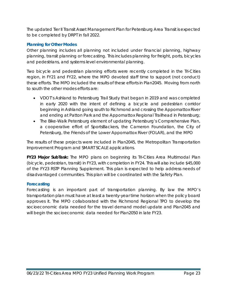The updated Tier II Transit Asset Management Plan for Petersburg Area Transit is expected to be completed by DRPT in fall 2022.

## <span id="page-23-0"></span>**Planning for Other Modes**

Other planning includes all planning not included under financial planning, highway planning, transit planning or forecasting. This includes planning for freight, ports, bicycles and pedestrians, and systems level environmental planning.

Two bicycle and pedestrian planning efforts were recently completed in the Tri-Cities region, in FY21 and FY22, where the MPO devoted staff time to support (not conduct) these efforts. The MPO included the results of these efforts in *Plan2045*. Moving from north to south the other modes efforts are:

- VDOT's Ashland to Petersburg Trail Study that began in 2019 and was completed in early 2020 with the intent of defining a bicycle and pedestrian corridor beginning in Ashland going south to Richmond and crossing the Appomattox River and ending at Patton Park and the Appomattox Regional Trailhead in Petersburg;
- The Bike-Walk Petersburg element of updating Petersburg's Comprehensive Plan, a cooperative effort of SportsBackers, the Cameron Foundation, the City of Petersburg, the Friends of the Lower Appomattox River (FOLAR), and the MPO

The results of these projects were included in *Plan2045,* the *Metropolitan Transportation Improvement Program* and SMART SCALE applications.

*FY23 Major SubTask:* The MPO plans on beginning its Tri-Cities Area Multimodal Plan (bicycle, pedestrian, transit) in FY23, with completion in FY24. This will also include \$45,000 of the FY23 RSTP Planning Supplement. This plan is expected to help address needs of disadvantaged communities. This plan will be coordinated with the Safety Plan.

### <span id="page-23-1"></span>**Forecasting**

Forecasting is an important part of transportation planning. By law the MPO's transportation plan must have at least a twenty-year time horizon when the policy board approves it. The MPO collaborated with the Richmond Regional TPO to develop the socioeconomic data needed for the travel demand model update and *Plan2045* and will begin the socioeconomic data needed for *Plan2050* in late FY23.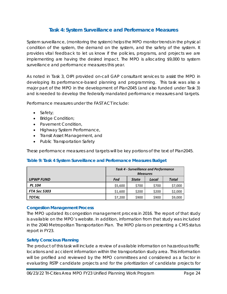## **Task 4: System Surveillance and Performance Measures**

<span id="page-24-0"></span>System surveillance, (monitoring the system) helps the MPO monitor trends in the physical condition of the system, the demand on the system, and the safety of the system. It provides vital feedback to let us know if the policies, programs, and projects we are implementing are having the desired impact. The MPO is allocating \$9,000 to system surveillance and performance measures this year.

As noted in Task 3, OIPI provided on-call GAP consultant services to assist the MPO in developing its performance-based planning and programming. This task was also a major part of the MPO in the development of *Plan2045* (and also funded under Task 3) and is needed to develop the federally mandated performance measures and targets.

Performance measures under the FAST ACT include:

- Safety;
- Bridge Condition;
- Pavement Condition,
- Highway System Performance,
- Transit Asset Management, and
- Public Transportation Safety

These performance measures and targets will be key portions of the text of *Plan2045.*

#### <span id="page-24-3"></span>**Table 9: Task 4 System Surveillance and Performance Measures Budget**

|                     | <b>Task 4 - Surveillance and Performance</b> |              |       |              |  |  |
|---------------------|----------------------------------------------|--------------|-------|--------------|--|--|
|                     | <b>Measures</b>                              |              |       |              |  |  |
| <b>UPWP FUND</b>    | Fed                                          | <b>State</b> | Local | <b>Total</b> |  |  |
| <b>PL 104</b>       | \$5,600                                      | \$700        | \$700 | \$7,000      |  |  |
| <b>FTA Sec 5303</b> | \$1,600                                      | \$200        | \$200 | \$2,000      |  |  |
| <b>TOTAL</b>        | \$7,200                                      | \$900        | \$900 | \$9,000      |  |  |

#### <span id="page-24-1"></span>**Congestion Management Process**

The MPO updated its congestion management process in 2016. The report of that study is available on the MPO's website. In addition, information from that study was included in the 2040 Metropolitan Transportation Plan. The MPO plans on presenting a CMS status report in FY23.

### <span id="page-24-2"></span>**Safety Conscious Planning**

The product of this task will include a review of available information on hazardous traffic locations and accident information within the transportation study area. This information will be profiled and reviewed by the MPO committees and considered as a factor in evaluating RSTP candidate projects and for the prioritization of candidate projects for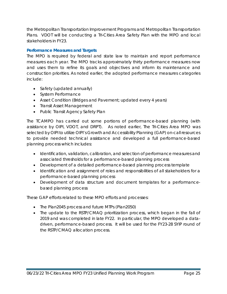the Metropolitan Transportation Improvement Programs and Metropolitan Transportation Plans. VDOT will be conducting a Tri-Cities Area Safety Plan with the MPO and local stakeholders in FY23.

## <span id="page-25-0"></span>**Performance Measures and Targets**

The MPO is required by federal and state law to maintain and report performance measures each year. The MPO tracks approximately thirty performance measures now and uses them to refine its goals and objectives and inform its maintenance and construction priorities. As noted earlier, the adopted performance measures categories include:

- Safety (updated annually)
- System Performance
- Asset Condition (Bridges and Pavement; updated every 4 years)
- Transit Asset Management
- Public Transit Agency Safety Plan

The TCAMPO has carried out some portions of performance-based planning (with assistance by OIPI, VDOT, and DRPT). As noted earlier, The Tri-Cities Area MPO was selected by OIPI to utilize OIPI's Growth and Accessibility Planning (GAP) on-call resources to provide needed technical assistance and developed a full performance-based planning process which includes:

- Identification, validation, calibration, and selection of performance measures and associated thresholds for a performance-based planning process
- Development of a detailed performance-based planning process template
- Identification and assignment of roles and responsibilities of all stakeholders for a performance-based planning process
- Development of data structure and document templates for a performancebased planning process

These GAP efforts related to these MPO efforts and processes:

- The *Plan2045* process and future MTPs (*Plan2050*)
- The update to the RSTP/CMAQ prioritization process, which began in the fall of 2019 and was completed in late FY22. In particular, the MPO developed a datadriven, performance-based process. It will be used for the FY23-28 SYIP round of the RSTP/CMAQ allocation process.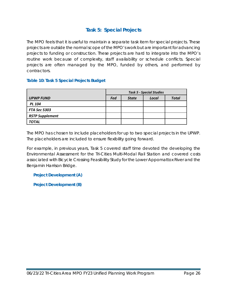## **Task 5: Special Projects**

<span id="page-26-0"></span>The MPO feels that it is useful to maintain a separate task item for special projects. These projects are outside the normal scope of the MPO's work but are important for advancing projects to funding or construction. These projects are hard to integrate into the MPO's routine work because of complexity, staff availability or schedule conflicts. Special projects are often managed by the MPO, funded by others, and performed by contractors.

## <span id="page-26-3"></span>**Table 10: Task 5 Special Projects Budget**

|                        | <b>Task 5 - Special Studies</b> |              |       |              |  |
|------------------------|---------------------------------|--------------|-------|--------------|--|
| <b>UPWP FUND</b>       | Fed                             | <b>State</b> | Local | <b>Total</b> |  |
| <b>PL 104</b>          |                                 |              |       |              |  |
| <b>FTA Sec 5303</b>    |                                 |              |       |              |  |
| <b>RSTP Supplement</b> |                                 |              |       |              |  |
| <b>TOTAL</b>           |                                 |              |       |              |  |

The MPO has chosen to include placeholders for up to two special projects in the UPWP. The placeholders are included to ensure flexibility going forward.

For example, in previous years, Task 5 covered staff time devoted the developing the Environmental Assessment for the Tri-Cities Multi-Modal Rail Station and covered costs associated with Bicycle Crossing Feasibility Study for the Lower Appomattox River and the Benjamin Harrison Bridge.

<span id="page-26-1"></span>**Project Development (A)**

<span id="page-26-2"></span>**Project Development (B)**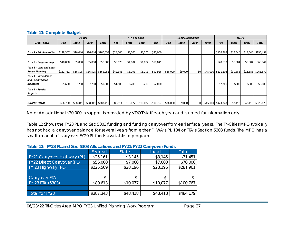|  |  | <b>Table 11: Complete Budget</b> |
|--|--|----------------------------------|
|  |  |                                  |

|                                |           | PL 104       |          |                      |          | <b>RSTP Supplement</b><br><b>FTA Sec 5303</b> |         | <b>TOTAL</b>       |          |              |       |              |                    |              |          |              |
|--------------------------------|-----------|--------------|----------|----------------------|----------|-----------------------------------------------|---------|--------------------|----------|--------------|-------|--------------|--------------------|--------------|----------|--------------|
| <b>UPWP TASK</b>               | Fed       | <b>State</b> | Local    | <b>Total</b>         | Fed      | <b>State</b>                                  | Local   | <b>Total</b>       | Fed      | <b>State</b> | Local | <b>Total</b> | Fed                | <b>State</b> | Local    | <b>Total</b> |
|                                |           |              |          |                      |          |                                               |         |                    |          |              |       |              |                    |              |          |              |
| <b>Task 1 - Administration</b> | \$128,367 | \$16,046     | \$16,046 | \$160,459            | \$28,000 | \$3,500                                       | \$3,500 | \$35,000           |          |              |       |              | \$156,367          | \$19,546     | \$19,546 | \$195,459    |
|                                |           |              |          |                      |          |                                               |         |                    |          |              |       |              |                    |              |          |              |
| Task 2 - Programming           | \$40,000  | \$5,000      | \$5,000  | \$50,000             | \$8,673  | \$1,084                                       | \$1,084 | \$10,841           |          |              |       |              | \$48,673           | \$6,084      | \$6,084  | \$60,841     |
| Task 3 - Long and Short        |           |              |          |                      |          |                                               |         |                    |          |              |       |              |                    |              |          |              |
| <b>Range Planning</b>          | \$132,762 | \$16,595     |          | $$16,595$ $$165,953$ | \$42,341 | \$5,293                                       | \$5,293 | \$52,926           | \$36,000 | \$9,000      | \$0   | \$45,000     | \$211,103          | \$30,888     | \$21,888 | \$263,879    |
| Task 4 - Surveillance          |           |              |          |                      |          |                                               |         |                    |          |              |       |              |                    |              |          |              |
| and Performance                |           |              |          |                      |          |                                               |         |                    |          |              |       |              |                    |              |          |              |
| <b>Measures</b>                | \$5,600   | \$700        | \$700    | \$7,000              | \$1,600  | \$200                                         | \$200   | \$2,000            |          |              |       |              | \$7,200            | \$900        | \$900    | \$9,000      |
| Task 5 - Special               |           |              |          |                      |          |                                               |         |                    |          |              |       |              |                    |              |          |              |
| <b>Projects</b>                |           |              |          |                      |          |                                               |         |                    |          |              |       |              |                    |              |          |              |
|                                |           |              |          |                      |          |                                               |         |                    |          |              |       |              |                    |              |          |              |
| <b>GRAND TOTAL</b>             | \$306,730 | \$38,341     | \$38,341 | \$383,412            | \$80,614 | \$10,077                                      |         | \$10,077 \$100,767 | \$36,000 | \$9,000      | \$0   |              | \$45,000 \$423,343 | \$57,418     | \$48,418 | \$529,179    |

<span id="page-27-0"></span>*Note: An additional \$30,000 in support is provided by VDOT staff each year and is noted for information only.*

Table 12 Shows the FY23 PL and Sec 5303 funding and funding carryover from earlier fiscal years. The Tri-Cities MPO typically has not had a carryover balance for several years from either FHWA's PL 104 or FTA's Section 5303 funds. The MPO has a small amount of carryover FY20 PL funds available to program.

#### **Table 12: FY23 PL and Sec 5303 Allocations and FY21/FY22 Carryover Funds**

<span id="page-27-1"></span>

|                             | Federal   | <b>State</b> | Local    | Total     |
|-----------------------------|-----------|--------------|----------|-----------|
| FY21 Carryover Highway (PL) | \$25,161  | \$3,145      | \$3,145  | \$31,451  |
| FY22 Direct Carryover (PL)  | \$56,000  | \$7,000      | \$7,000  | \$70,000  |
| FY 23 Highway (PL)          | \$225,569 | \$28,196     | \$28,196 | \$281,961 |
|                             |           |              |          |           |
| Carryover FTA               | \$-       | \$-          | \$-      | \$-       |
| FY 23 FTA (5303)            | \$80,613  | \$10,077     | \$10,077 | \$100,767 |
|                             |           |              |          |           |
| Total for FY23              | \$387,343 | \$48,418     | \$48,418 | \$484,179 |
|                             |           |              |          |           |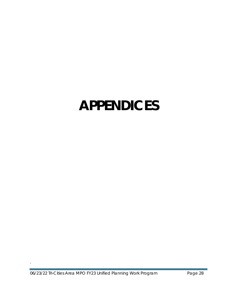# <span id="page-28-0"></span>**APPENDICES**

.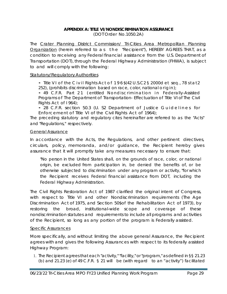## **APPENDIX A: TITLE VI/NONDISCRIMINATION ASSURANCE**

(DOT Order No.1050.2A)

<span id="page-29-0"></span>The Crater Planning District Commission/ Tri-Cities Area Metropolitan Planning Organization (herein referred to as the "Recipient"), HEREBY AGREES THAT, as a condition to receiving any Federal financial assistance from the U.S. Department of Transportation (DOT), through the *Federal Highway Administration (FHWA),* is subject to and will comply with the following:

### Statutory/Regulatory Authorities

• Title VI of the Civil Rights Act of 196\$(42 U.S.C2 § 2000d et *seq., 78* stat 2 252), (prohibits discrimination based on race, color, national origin);

• 49 C.F.R. Part 21 (entitled Nondiscrimination *in Federally-Assisted Programs of The Department of Transportation- Effectuation of Title VI of The Civil Rights Act of I 964);*

• 28 C.F.R. section 50.3 (U. S2 Department of Justice Guidelines for Enforcement of Title VI of the Civil Rights Act of 1964);

The preceding statutory and regulatory cites hereinafter are referred to as the "Acts" and "Regulations," respectively.

#### General Assurance

In accordance with the Acts, the Regulations, and other pertinent directives, circulars, policy, memoranda, and/or guidance, the Recipient hereby gives assurance that it will promptly take any measures necessary to ensure that:

*"No person in the United States shall, on the grounds of race, color, or national origin, be excluded from participation in, be denied the benefits of, or be otherwise subjected to discrimination under any program or activity, "for which the Recipient receives Federal financial assistance from DOT, including the Federal Highway Administration.*

The Civil Rights Restoration Act of 1987 clarified the original intent of Congress, with respect to Title VI and other Nondiscrimination requirements (The Age Discrimination Act of 1975, and Section 50\$of the Rehabilitation Act of 1973), by restoring the broad, institutional-wide scope and coverage of these nondiscrimination statutes and requirements to include all programs and activities of the Recipient, so long as any portion of the program is Federally assisted.

#### Specific Assurances

More specifically, and without limiting the above general Assurance, the Recipient agrees with and gives the following Assurances with respect to its federally assisted Highway Program:

1. The Recipient agrees that each "activity," "facility," or "program," as defined in §§ 21.23 (b) and 21.23 (e) of 49 C.F.R. § 21 will be (with regard to an "activity") facilitated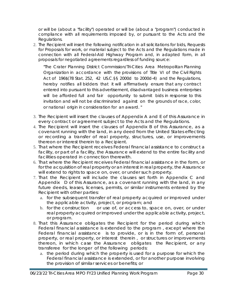or will be (about a "facility") operated or will be (about a "program") conducted in compliance with all requirements imposed by, or pursuant to the Acts and the Regulations.

2. The Recipient will insert the following notification in all solicitations for bids, Requests for Proposals for work, or material subject to the Acts and the Regulations made in connection with all Federal-Aid Highway Program and, in adapted form, in all proposals for negotiated agreements regardless of funding source:

*"The Crater Planning District Commission/Tri-Cities Area Metropolitan Planning Organization in accordance with the provisions of Title VI of the Civil Rights Act of 196\$(78 Stat. 252, 42 US.C.§§ 2000d to 2000d-4) and the Regulations, hereby notifies all bidders that it will affirmatively ensure that any contract entered into pursuant to this advertisement, disadvantaged business enterprises*  will be afforded full and fair opportunity to submit bids in response to this *invitation and will not be discriminated against on the grounds of race, color, or national origin in consideration for an award. "*

- 3. The Recipient will insert the clauses of Appendix A and E of this Assurance in every contract or agreement subject to the Acts and the Regulations.
- 4. The Recipient will insert the clauses of Appendix B of this Assurance, as a covenant running with the land, in any deed from the United States effecting or recording a transfer of real property, structures, use, or improvements thereon or interest therein to a Recipient.
- 5. That where the Recipient receives Federal financial assistance to construct a facility, or part of a facility, the Assurance will extend to the entire facility and facilities operated in connection therewith.
- 6. That where the Recipient receives Federal financial assistance in the form, or for the acquisition of real property or an interest in real property, the Assurance will extend to rights to space on, over, or under such property.
- 7. That the Recipient will include the clauses set forth in Appendix C and Appendix D of this Assurance, as a covenant running with the land, in any future deeds, leases, licenses, permits, or similar instruments entered by the Recipient with other parties:
	- a. for the subsequent transfer of real property acquired or improved under the applicable activity, project, or program; and
	- b. for the construction or use of, or access to, space on, over, or under real property acquired or improved under the applicable activity, project, or program.
- 8. That this Assurance obligates the Recipient for the period during which Federal financial assistance is extended to the program , except where the Federal financial assistance is to provide, or is in the form of, personal property, or real property, or interest therein , or structures or improvements thereon, in which case the Assurance obligates the Recipient, or any transferee for the longer of the following periods:
	- a. the period during which the property is used for a purpose for which the Federal financial assistance is extended, or for another purpose involving the provision of similar services or benefits; or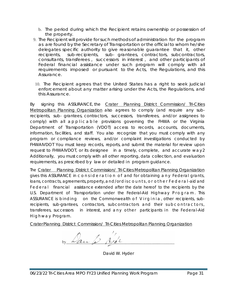- b. The period during which the Recipient retains ownership or possession of the property.
- 9. The Recipient will provide for such methods of administration for the program as are found by the Secretary of Transportation or the official to whom he/she delegates specific authority to give reasonable guarantee that it, other recipients, sub-recipients, sub- grantees, contractors, subcontractors, consultants, transferees , successors in interest , and other participants of Federal financial assistance under such program will comply with all requirements imposed or pursuant to the Acts, the Regulations, and this Assurance.
- 10. The Recipient agrees that the United States has a right to seek judicial enforcement about any matter arising under the Acts, the Regulations, and this Assurance.

By signing this ASSURANCE, the Crater Planning District Commission/ Tri-Cities Metropolitan Planning Organization also agrees to comply (and require any subrecipients, sub- grantees, contractors, successors, transferees, and/or assignees to comply) with all applicable provisions governing the *FHWA or the Virginia Department of Transportation (VDOT)* access to records, accounts, documents, information, facilities, and staff. You also recognize that you must comply with any program or compliance reviews, and/or complaint investigations conducted by *FHWAIVDOT* You must keep records, reports, and submit the material for review upon request to *FHWAIVDOT,* or its designee in a timely, complete, and accurate way2 Additionally, you must comply with all other reporting, data collection, and evaluation requirements, as prescribed by law or detailed in program guidance.

The Crater Planning District Commission/ Tri-Cities Metropolitan Planning Organization gives this ASSURANCE in consideration of and for obtaining any Federal grants, loans, contracts, agreements, property, and/or discounts, or other Federal-aid and Federal financial assistance extended after the date hereof to the recipients by the U.S. Department of Transportation under the *Federal-Aid Highway Program .* This ASSURANCE is binding on the Commonwealth *of Virginia*, other recipients, subrecipients, sub-grantees, contractors, subcontractors and their subcontractors, transferees, successors in interest, and any other participants in the Federal-Aid *Highway Program.*

Crater Planning District Commission/ Tri-Cities Metropolitan Planning Organization

by Dan I Nide

David W. Hyder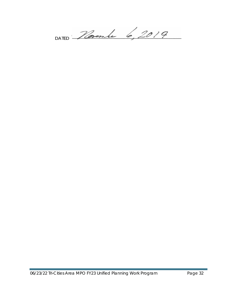DATED Placember 6, 2019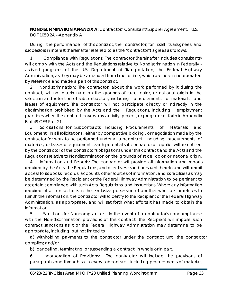**NONDISCRIMINATION APPENDIX A:** Contractor/ Consultant/Supplier Agreement: U.S. DOT 1050.2A --Appendix A

During the performance of this contract, the contractor, for itself, its assignees, and successors in interest (hereinafter referred to as the "contractor") agrees as follows:

1. Compliance with Regulations: The contractor (hereinafter includes consultants) will comply with the Acts and the Regulations relative to Nondiscrimination in Federally assisted programs of the U.S. Department of Transportation, the Federal Highway Administration, as they may be amended from time to time, which are herein incorporated by reference and made a part of this contract.

2. Nondiscrimination: The contractor, about the work performed by it during the contract, will not discriminate on the grounds of race, color, or national origin in the selection and retention of subcontractors, including procurements of materials and leases of equipment. The contractor will not participate directly or indirectly in the discrimination prohibited by the Acts and the Regulations, including employment practices when the contract covers any activity, project, or program set forth in Appendix B of 49 CFR Part 21.

3. Solicitations for Subcontracts, Including Procurements of Materials and Equipment: In all solicitations , either by competitive bidding , or negotiation made by the contractor for work to be performed under a subcontract, including procurements of materials, or leases of equipment , each potential subcontractor or supplier will be notified by the contractor of the contractor's obligations under this contract and the Acts and the Regulations relative to Nondiscrimination on the grounds of race, color, or national origin.

4. Information and Reports: The contractor will provide all information and reports required by the Acts, the Regulations, and directives issued pursuant thereto and will permit access to its books, records, accounts, other sources of information, and its facilities as may be determined by the Recipient or the Federal Highway Administration to be pertinent to ascertain compliance with such Acts, Regulations, and instructions. Where any information required of a contractor is in the exclusive possession of another who fails or refuses to furnish the information, the contractor will so certify to the Recipient or the Federal Highway Administration, as appropriate, and will set forth what efforts it has made to obtain the information.

5. Sanctions for Noncompliance: In the event of a contractor's noncompliance with the Non-discrimination provisions of this contract, the Recipient will impose such contract sanctions as it or the Federal Highway Administration may determine to be appropriate, including, but not limited to:

a) withholding payments to the contractor under the contract until the contractor complies; and/or

b) cancelling, terminating, or suspending a contract, in whole or in part.

6. Incorporation of Provisions: The contractor will include the provisions of paragraphs one through six in every subcontract, including procurements of materials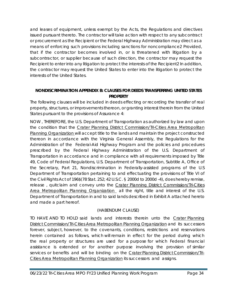and leases of equipment, unless exempt by the Acts, the Regulations and directives issued pursuant thereto. The contractor will take action with respect to any subcontract or procurement as the Recipient or the Federal Highway Administration may direct as a means of enforcing such provisions including sanctions for noncompliance2 Provided, that if the contractor becomes involved in, or is threatened with litigation by a subcontractor, or supplier because of such direction, the contractor may request the Recipient to enter into any litigation to protect the interests of the Recipient2 In addition, the contractor may request the United States to enter into the litigation to protect the interests of the United States.

## <span id="page-34-0"></span>**NONDISCRIMINATION APPENDIX B: CLAUSES FOR DEEDS TRANSFERRING UNITED STATES PROPERTY**

The following clauses will be included in deeds effecting or recording the transfer of real property, structures, or improvements thereon, or granting interest therein from the United States pursuant to the provisions of Assurance 4:

NOW , THEREFORE, the U.S. Department of Transportation as authorized by law and upon the condition that the Crater Planning District Commission/Tri-Cities Area Metropolitan Planning Organization will accept title to the lands and maintain the project constructed thereon in accordance with the Virginia General Assembly, the Regulations for the Administration of the Federal-Aid Highway Program and the policies and procedures prescribed by the *Federal Highway Administration* of the U.S. Department of Transportation in accordance and in compliance with all requirements imposed by Title 49, Code of Federal Regulations, U.S. Department of Transportation, Subtitle A, Office of the Secretary, Part 21, Nondiscrimination in Federally-assisted programs of the U.S Department of Transportation pertaining to and effectuating the provisions of Title VI of the Civil Rights Act of 196\$(78 Stat. 252; 42 U.S.C. § 2000d to 2000d -4), does hereby remise, release, quitclaim and convey unto the Crater Planning District Commission/Tri-Cities Area Metropolitan Planning Organization all the right, title and interest of the U.S. Department of Transportation in and to said lands described in Exhibit A attached hereto and made a part hereof.

## (HABENDUM CLAUSE)

TO HAVE AND TO HOLD said lands and interests therein unto the Crater Planning District Commission/Tri-Cities Area Metropolitan Planning Organization and its successors forever, subject, however, to the covenants, conditions, restrictions and reservations herein contained as follows, which will remain in effect for the period during which the real property or structures are used for a purpose for which Federal financial assistance is extended or for another purpose involving the provision of similar services or benefits and will be binding on the Crater Planning District Commission/Tri-Cities Area Metropolitan Planning Organization its successors and assigns.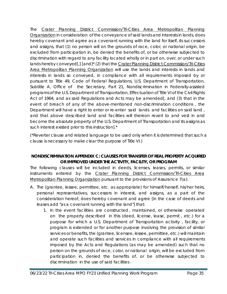The Crater Planning District Commission/Tri-Cities Area Metropolitan Planning Organization in consideration of the conveyance of said lands and interests in lands, does hereby covenant and agree as a covenant running with the land for itself, its successors and assigns, that (1) no person will on the grounds of race, color, or national origin, be excluded from participation in, be denied the benefits of, or be otherwise subjected to discrimination with regard to any facility located wholly or in part on, over, or under such lands hereby conveyed[,] [and]<sup>\*</sup> (2) that the Crater Planning District Commission/Tri-Cities Area Metropolitan Planning Organization will use the lands and interests in lands and interests in lands so conveyed, in compliance with all requirements imposed by or pursuant to Title 49, Code of Federal Regulations, U.S. Department of Transportation, Subtitle A, Office of the Secretary, Part 21, Nondiscrimination in Federally-assisted programs of the U.S. Department of Transportation, Effectuation of Title VI of the Civil Rights Act of 1964, and as said Regulations and Acts may be amended[, and (3) that in the event of breach of any of the above-mentioned non-discrimination conditions , the Department will have a right to enter or re-enter said lands and facilities on said land, and that above described land and facilities will thereon revert to and vest in and become the absolute property of the U.S. Department of Transportation and its assigns as such interest existed prior to this instruction].\*

(\*Reverter clause and related language to be used only when it is determined that such a clause is necessary to make clear the purpose of Title VI.)

## <span id="page-35-0"></span>**NONDISCRIMINATION APPENDIX C: CLAUSES FOR TRANSFER OF REAL PROPERTY ACQUIRED OR IMPROVED UNDER THE ACTIVITY, FACILITY, OR PROGRAM**

The following clauses will be included in deeds, licenses, leases, permits, or similar instruments entered by the Crater Planning District Commission/Tri-Cities Area Metropolitan Planning Organization pursuant to the provisions of Assurance 7(a):

- A. The (grantee, lessee, permittee, etc. as appropriate) for himself/herself, his/her heirs, personal representatives, successors in interest, and assigns, as a part of the consideration hereof, does hereby covenant and agree [in the case of deeds and leases add "as a covenant running with the land"] that:
	- 1. In the event facilities are constructed , maintained, or otherwise operated on the property described in this (deed, license, lease, permit , etc.) for a purpose for which a U.S. Department of Transportation activity , facility, or program is extended or for another purpose involving the provision of similar services or benefits, the (grantee, licensee, lessee, permittee, etc.) will maintain and operate such facilities and services in compliance with all requirements imposed by the Acts and Regulations (as may be amended) such that no person on the grounds of race, color, or national origin, will be excluded from participation in, denied the benefits of, or be otherwise subjected to discrimination in the use of said facilities .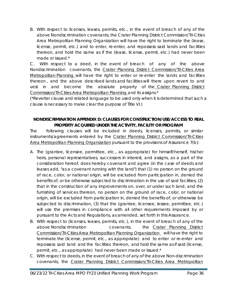B. With respect to licenses, leases, permits, *etc.*, in the event of breach of any of the above Nondiscrimination covenants, the Crater Planning District Commission/Tri-Cities Area Metropolitan Planning Organization will have the right to terminate the (lease, license, permit, etc.) and to enter, re-enter, and repossess said lands and facilities thereon, and hold the same as if the (lease, license, permit, etc.) had never been made or issued.\*

C. With respect to a deed, in the event of breach of any of the above Nondiscrimination covenants, the Crater Planning District Commission/Tri-Cities Area Metropolitan Planning will have the right to enter or re-enter the lands and facilities thereon , and the above described lands and facilities will there upon revert to and vest in and become the absolute property of the Crater Planning District Commission/Tri-Cities Area Metropolitan Planning and its assigns.\*

(\*Reverter clause and related language to be used only when it is determined that such a clause is necessary to make clear the purpose of Title VI.)

## <span id="page-36-0"></span>**NONDISCRIMINATION APPENDIX D: CLAUSES FOR CONSTRUCTION/USE/ACCESS TO REAL PROPERTY ACQUIRED UNDER THE ACTIVITY, FACILITY OR PROGRAM**

The following clauses will be included in deeds, licenses, permits, or similar instruments/agreements entered by the Crater Planning District Commission/Tri-Cities Area Metropolitan Planning Organization pursuant to the provisions of Assurance 7(b):

- A. The (grantee, licensee, permittee, *etc.*, as appropriate) for himself/herself, his/her heirs, personal representatives, successors in interest, and assigns, as a part of the consideration hereof, does hereby covenant and agree (in the case of deeds and leases add, "as a covenant running with the land") that (1) no person on the ground of race, color, or national origin, will be excluded from participation in, denied the benefits of, or be otherwise subjected to discrimination in the use of said facilities, (2) that in the construction of any improvements on, over, or under such land, and the furnishing of services thereon, no person on the ground of race, color, or national origin, will be excluded from participation in, denied the benefits of, or otherwise be subjected to discrimination, (3) that the (grantee, licensee, lessee, permittee, etc.) will use the premises in compliance with all other requirements imposed by or pursuant to the Acts and Regulations, as amended, set forth in this Assurance.
- B. With respect to (licenses, leases, permits, *etc*.), in the event of breach of any of the above Nondiscrimination covenants, the Crater Planning District Commission/Tri-Cities Area Metropolitan Planning Organization will have the right to terminate the (license, permit, etc., as appropriate) and to enter or re-enter and repossess said land and the facilities thereon, and hold the same as if said (license, permit, etc., as appropriate) had never been made or issued.\*
- C. With respect to deeds, in the event of breach of any of the above Non-discrimination covenants, the Crater Planning District Commission/Tri-Cities Area Metropolitan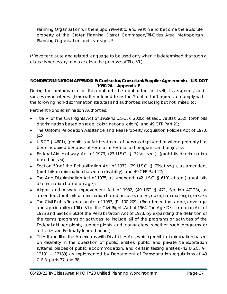Planning Organization will there upon revert to and vest in and become the absolute property of the Crater Planning District Commission/Tri-Cities Area Metropolitan Planning Organization and its assigns. \*

(\*Reverter clause and related language to be used only when it is determined that such a clause is necessary to make clear the purpose of Title VI.)

## <span id="page-37-0"></span>**NONDISCRIMINATION APPENDIX E: Contractor/Consultant/Supplier Agreements: U.S. DOT 1050.2A --Appendix E**

During the performance of this contract, the contractor, for itself, its assignees, and successors in interest (hereinafter referred to as the "contractor") agrees to comply with the following non-discrimination statutes and authorities; including but not limited to:

## Pertinent Nondiscrimination Authorities:

- Title VI of the Civil Rights Act of 196\$(42 U.S.C. § 2000d *et seq.,* 78 stat. 252), (prohibits discrimination based on race, color, national origin); and 49 CFR Part 21;
- The Uniform Relocation Assistance and Real Property Acquisition Policies Act of 1970, (42
- U.S.C2 § 4601), (prohibits unfair treatment of persons displaced or whose property has been acquired because of Federal or Federal-aid programs and projects);
- Federal-Aid Highway Act of 1973, (23 U.S.C. § 32\$*et seq.),* (prohibits discrimination based on sex);
- Section 50\$of the Rehabilitation Act of 1973, (29 U.S.C. § 79\$*et seq.),* as amended, (prohibits discrimination based on disability); and 49 CFR Part 27;
- The Age Discrimination Act of 1975, as amended, (42 U.S.C. § 6101 *et seq.),* (prohibits discrimination based on age);
- Airport and Airway Improvement Act of 1982, (49 USC § 471, Section 47123), as amended, (prohibits discrimination based on race, creed, color, national origin, or sex);
- The Civil Rights Restoration Act of 1987, (PL 100-209), (Broadened the scope, coverage and applicability of Title VI of the Civil Rights Act of 1964, The Age Discrimination Act of 1975 and Section 50\$of the Rehabilitation Act of 1973, by expanding the definition of the terms "programs or activities" to include all of the programs or activities of the Federal-aid recipients, sub-recipients and contractors, whether such programs or activities are Federally funded or not);
- Titles II and III of the Americans with Disabilities Act, which prohibit discrimination based on disability in the operation of public entities, public and private transportation systems, places of public accommodation, and certain testing entities (42 U.S.C. §§ 12131 -- 12189) as implemented by Department of Transportation regulations at 49 C.F.R. parts 37 and 38;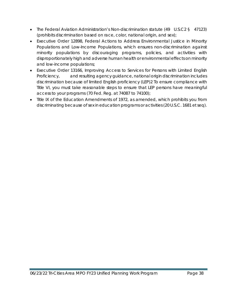- The Federal Aviation Administration's Non-discrimination statute (49 U.S.C2 § 47123) (prohibits discrimination based on race, color, national origin, and sex);
- Executive Order 12898, Federal Actions to Address Environmental Justice in Minority Populations and Low-Income Populations, which ensures non-discrimination against minority populations by discouraging programs, policies, and activities with disproportionately high and adverse human health or environmental effects on minority and low-income populations;
- Executive Order 13166, Improving Access to Services for Persons with Limited English Proficiency, and resulting agency guidance, national origin discrimination includes discrimination because of limited English proficiency (LEP)2 To ensure compliance with Title VI, you must take reasonable steps to ensure that LEP persons have meaningful access to your programs (70 Fed. Reg. at 74087 to 74100);
- Title IX of the Education Amendments of 1972, as amended, which prohibits you from discriminating because of sex in education programs or activities (20 U.S.C. 1681 *et seq*).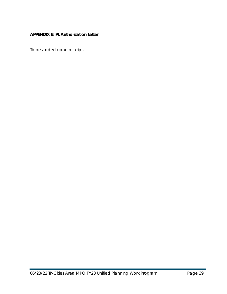## <span id="page-39-0"></span>**APPENDIX B: PL Authorization Letter**

To be added upon receipt.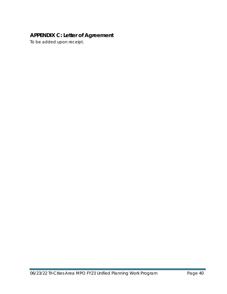# <span id="page-40-0"></span>**APPENDIX C: Letter of Agreement**

To be added upon receipt.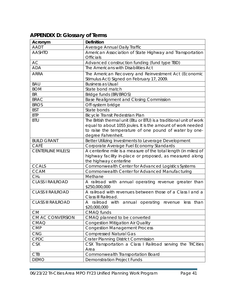| <b>AADT</b>               | Average Annual Daily Traffic                                                     |
|---------------------------|----------------------------------------------------------------------------------|
| <b>AASHTO</b>             | American Association of State Highway and Transportation                         |
|                           | <b>Officials</b>                                                                 |
| AC                        | Advanced construction funding (fund type TBD)                                    |
| <b>ADA</b>                | The Americans with Disabilities Act                                              |
| <b>ARRA</b>               | The American Recovery and Reinvestment Act (Economic                             |
|                           | Stimulus Act) Signed on February 17, 2009.                                       |
| <b>BAU</b>                | <b>Business as Usual</b>                                                         |
| <b>BOM</b>                | State bond match                                                                 |
| <b>BR</b>                 | Bridge funds (BR/BROS)                                                           |
| <b>BRAC</b>               | <b>Base Realignment and Closing Commission</b>                                   |
| <b>BROS</b>               | Off-system bridge                                                                |
| <b>BST</b>                | State bonds                                                                      |
| <b>BTP</b>                | Bicycle Transit Pedestrian Plan                                                  |
| <b>BTU</b>                | The British thermal unit (Btu or BTU) is a traditional unit of work              |
|                           | equal to about 1055 joules. It is the amount of work needed                      |
|                           | to raise the temperature of one pound of water by one-                           |
|                           | degree Fahrenheit.                                                               |
| <b>BUILD GRANT</b>        | Better Utilizing Investments to Leverage Development                             |
| CAFÉ                      | Corporate Average Fuel Economy Standards                                         |
| <b>CENTERLINE MILE(S)</b> | A centerline mile is a measure of the total length (in miles) of                 |
|                           | highway facility in-place or proposed, as measured along                         |
|                           | the highway centerline                                                           |
| <b>CCALS</b>              | Commonwealth Center for Advanced Logistics Systems                               |
| <b>CCAM</b>               | Commonwealth Center for Advanced Manufacturing                                   |
| CH <sub>4</sub>           | Methane                                                                          |
| <b>CLASS I RAILROAD</b>   | A railroad with annual operating revenue greater than<br>\$250,000,000           |
| <b>CLASS II RAILROAD</b>  | A railroad with revenues between those of a Class I and a<br>Class III Railroad. |
| <b>CLASS III RAILROAD</b> | A railroad with annual operating revenue less than<br>\$20,000,000               |
| CM                        | CMAQ funds                                                                       |
| CM AC CONVERSION          | CMAQ planned to be converted                                                     |
| <b>CMAQ</b>               | <b>Congestion Mitigation Air Quality</b>                                         |
| <b>CMP</b>                | <b>Congestion Management Process</b>                                             |
| CNG                       | <b>Compressed Natural Gas</b>                                                    |
| CPDC                      | <b>Crater Planning District Commission</b>                                       |
| <b>CSX</b>                | CSX Transportation a Class I Railroad serving the TriCities                      |
|                           | Area                                                                             |

## <span id="page-41-0"></span>**APPENDIX D: Glossary of Terms Acronym Definition**

CTB COMMONDED COMMONDED COMMONDED COMMONS COMMONS COMMONS DEMO<br>
COMMONS DEMONDED COMMONS DEMONSTRATION Project Funds

Demonstration Project Funds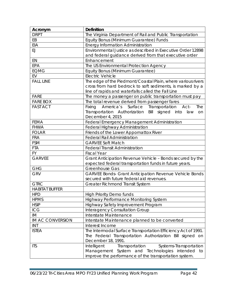| Acronym                 | <b>Definition</b>                                             |
|-------------------------|---------------------------------------------------------------|
| <b>DRPT</b>             | The Virginia Department of Rail and Public Transportation     |
| EB                      | Equity Bonus (Minimum Guarantee) Funds                        |
| EIA                     | Energy Information Administration                             |
| EJ.                     | Environmental Justice as described in Executive Order 12898   |
|                         | and federal guidance derived from that executive order        |
| EN                      | Enhancement                                                   |
| EPA                     | The US Environmental Protection Agency                        |
| <b>EQMG</b>             | Equity Bonus (Minimum Guarantee)                              |
| EV                      | <b>Electric Vehicle</b>                                       |
| <b>FALL LINE</b>        | The edge of the Piedmont/Coastal Plain, where various rivers  |
|                         | cross from hard bedrock to soft sediments, is marked by a     |
|                         | line of rapids and waterfalls called the Fall Line            |
| <b>FARE</b>             | The money a passenger on public transportation must pay       |
| <b>FARE BOX</b>         | The total revenue derived from passenger fares                |
| <b>FAST ACT</b>         | America's Surface<br>Transportation<br>Act-<br>The<br>Fixing  |
|                         | Transportation Authorization Bill signed into<br>law<br>on    |
|                         | December 4, 2015                                              |
| <b>FEMA</b>             | Federal Emergency Management Administration                   |
| <b>FHWA</b>             | Federal Highway Administration                                |
| <b>FOLAR</b>            | Friends of the Lower Appomattox River                         |
| <b>FRA</b>              | <b>Federal Rail Administration</b>                            |
| <b>FSM</b>              | <b>GARVEE Soft Match</b>                                      |
| <b>FTA</b>              | <b>Federal Transit Administration</b>                         |
| <b>FY</b>               | <b>Fiscal Year</b>                                            |
| <b>GARVEE</b>           | Grant Anticipation Revenue Vehicle - Bonds secured by the     |
|                         | expected federal transportation funds in future years.        |
| <b>GHG</b>              | Greenhouse Gas                                                |
| <b>GRV</b>              | <b>GARVEE Bonds- Grant Anticipation Revenue Vehicle Bonds</b> |
|                         | secured with future federal aid revenues.                     |
| <b>GTRC</b>             | Greater Richmond Transit System                               |
| <b>HABITAT BUFFER</b>   |                                                               |
| <b>HPD</b>              | <b>High Priority Demo funds</b>                               |
| <b>HPMS</b>             | Highway Performance Monitoring System                         |
| <b>HSIP</b>             | Highway Safety Improvement Program                            |
| ICG                     | <b>Interagency Consultation Group</b>                         |
| IM                      | Interstate Maintenance                                        |
| <b>IM AC CONVERSION</b> | Interstate Maintenance planned to be converted                |
| INT                     | Interest Income                                               |
| <b>ISTEA</b>            | The Intermodal Surface Transportation Efficiency Act of 1991. |
|                         | The Federal Transportation Authorization Bill signed on       |
|                         | December 18, 1991.                                            |
| <b>ITS</b>              | Transportation<br>Intelligent<br>Systems-Transportation       |
|                         | Management System and Technologies intended to                |
|                         | improve the performance of the transportation system.         |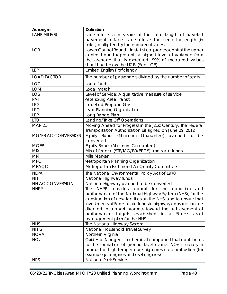| Acronym             | <b>Definition</b>                                                    |
|---------------------|----------------------------------------------------------------------|
| LANE MILE(S)        | Lane-mile is a measure of the total length of traveled               |
|                     | pavement surface. Lane-miles is the centerline length (in            |
|                     | miles) multiplied by the number of lanes.                            |
| <b>LCB</b>          | Lower Control Bound - In statistical process control the upper       |
|                     | control bound represents a highest level of variance from            |
|                     | the average that is expected. 99% of measured values                 |
|                     | should be below the UCB. (See UCB)                                   |
| <b>LEP</b>          | <b>Limited English Proficiency</b>                                   |
| <b>LOAD FACTOR</b>  | The number of passengers divided by the number of seats              |
| <b>LOC</b>          | Local funds                                                          |
| <b>LOM</b>          | Local match                                                          |
| LOS                 | Level of Service: A qualitative measure of service                   |
| PAT                 | Petersburg Area Transit                                              |
| <b>LPG</b>          | <b>Liquefied Propane Gas</b>                                         |
| <b>LPO</b>          | Lead Planning Organization                                           |
| <b>LRP</b>          | Long Range Plan                                                      |
| <b>LTO</b>          | Landing/Take Off Operations                                          |
| <b>MAP 21</b>       | Moving Ahead for Progress in the j21st Century. The Federal          |
|                     | Transportation Authorization Bill signed on June 29, 2012            |
| MG/EB AC CONVERSION | Equity Bonus (Minimum Guarantee) planned to<br>be                    |
|                     | converted                                                            |
| <b>MGEB</b>         | Equity Bonus (Minimum Guarantee)                                     |
| <b>MIX</b>          | Mix of federal (STP/MG/BR/BROS) and state funds                      |
| MM                  | Mile Marker                                                          |
| <b>MPO</b>          | Metropolitan Planning Organization                                   |
| <b>MRAQC</b>        | Metropolitan Richmond Air Quality Committee                          |
| <b>NEPA</b>         | The National Environmental Policy Act of 1970.                       |
| <b>NH</b>           | National Highway funds                                               |
| NH AC CONVERSION    | National Highway planned to be converted                             |
| <b>NHPP</b>         | The NHPP provides support for the condition and                      |
|                     | performance of the National Highway System (NHS), for the            |
|                     | construction of new facilities on the NHS, and to ensure that        |
|                     | investments of Federal-aid funds in highway construction are         |
|                     | directed to support progress toward the achievement of               |
|                     | performance targets established<br>in<br>a a<br>State's<br>asset     |
|                     | management plan for the NHS.                                         |
| <b>NHS</b>          | The National Highway System                                          |
| <b>NHTS</b>         | National Household Travel Survey                                     |
| <b>NOVA</b>         | Northern Virginia                                                    |
| NOx                 | Oxides of Nitrogen - a chemical compound that contributes            |
|                     | to the formation of ground level ozone. NO <sub>x</sub> is usually a |
|                     | product of high temperature high pressure combustion (for            |
|                     | example jet engines or diesel engines)                               |
| <b>NPS</b>          | National Park Service                                                |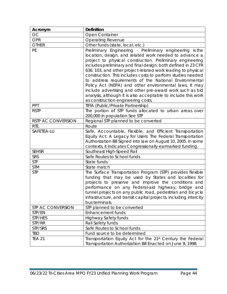| Acronym            | <b>Definition</b>                                                                                                                                                                                                                                                                                                                                                                                                                                                                                                                                                                                                                                                     |
|--------------------|-----------------------------------------------------------------------------------------------------------------------------------------------------------------------------------------------------------------------------------------------------------------------------------------------------------------------------------------------------------------------------------------------------------------------------------------------------------------------------------------------------------------------------------------------------------------------------------------------------------------------------------------------------------------------|
| <b>OC</b>          | Open Container                                                                                                                                                                                                                                                                                                                                                                                                                                                                                                                                                                                                                                                        |
| <b>OPR</b>         | <b>Operating Revenue</b>                                                                                                                                                                                                                                                                                                                                                                                                                                                                                                                                                                                                                                              |
| <b>OTHER</b>       | Other funds (state, local, etc.)                                                                                                                                                                                                                                                                                                                                                                                                                                                                                                                                                                                                                                      |
| <b>PE</b>          | Preliminary Engineering - Preliminary engineering is the<br>location, design, and related work needed to advance a<br>project to physical construction. Preliminary engineering<br>includes preliminary and final design; both defined in 23 CFR<br>636. 103, and other project-related work leading to physical<br>construction. This includes costs to perform studies needed<br>to address requirements of the National Environmental<br>Policy Act (NEPA) and other environmental laws. It may<br>include advertising and other pre-award work such as bid<br>analysis, although it is also acceptable to include this work<br>as construction engineering costs. |
| PPT                | TIFIA (Public/Private Partnership)                                                                                                                                                                                                                                                                                                                                                                                                                                                                                                                                                                                                                                    |
| <b>RSTP</b>        | The portion of STP funds allocated to urban areas over<br>200,000 in population See STP                                                                                                                                                                                                                                                                                                                                                                                                                                                                                                                                                                               |
| RSTP AC CONVERSION | Regional STP planned to be converted                                                                                                                                                                                                                                                                                                                                                                                                                                                                                                                                                                                                                                  |
| RTE.               | Route                                                                                                                                                                                                                                                                                                                                                                                                                                                                                                                                                                                                                                                                 |
| SAFETEA-LU         | Safe, Accountable, Flexible, and Efficient Transportation<br>Equity Act: A Legacy for Users: The Federal Transportation<br>Authorization Bill Signed into law on August 10, 2005. In some<br>contexts, it indicates Congressionally earmarked funding.                                                                                                                                                                                                                                                                                                                                                                                                                |
| <b>SEHSR</b>       | Southeast High-Speed Rail                                                                                                                                                                                                                                                                                                                                                                                                                                                                                                                                                                                                                                             |
| <b>SRS</b>         | Safe Routes to School funds                                                                                                                                                                                                                                                                                                                                                                                                                                                                                                                                                                                                                                           |
| <b>STF</b>         | State funds                                                                                                                                                                                                                                                                                                                                                                                                                                                                                                                                                                                                                                                           |
| <b>STM</b>         | State match                                                                                                                                                                                                                                                                                                                                                                                                                                                                                                                                                                                                                                                           |
| <b>STP</b>         | The Surface Transportation Program (STP) provides flexible<br>funding that may be used by States and localities for<br>projects to preserve and improve the conditions and<br>performance on any Federal-aid highway, bridge and<br>tunnel projects on any public road, pedestrian and bicycle<br>infrastructure, and transit capital projects, including intercity<br>bus terminals.                                                                                                                                                                                                                                                                                 |
| STP AC CONVERSION  | STP planned to be converted                                                                                                                                                                                                                                                                                                                                                                                                                                                                                                                                                                                                                                           |
| STP/EN             | <b>Enhancement funds</b>                                                                                                                                                                                                                                                                                                                                                                                                                                                                                                                                                                                                                                              |
| STP/HES            | <b>Highway Safety funds</b>                                                                                                                                                                                                                                                                                                                                                                                                                                                                                                                                                                                                                                           |
| STP/RR             | Rail Safety funds                                                                                                                                                                                                                                                                                                                                                                                                                                                                                                                                                                                                                                                     |
| STP/SRS            | Safe Routes to School funds                                                                                                                                                                                                                                                                                                                                                                                                                                                                                                                                                                                                                                           |
| <b>TBD</b>         | Fund source to be determined                                                                                                                                                                                                                                                                                                                                                                                                                                                                                                                                                                                                                                          |
| <b>TEA 21</b>      | Transportation Equity Act for the 21 <sup>st</sup> Century the Federal<br>Transportation Authorization Bill Enacted on June 9, 1998.                                                                                                                                                                                                                                                                                                                                                                                                                                                                                                                                  |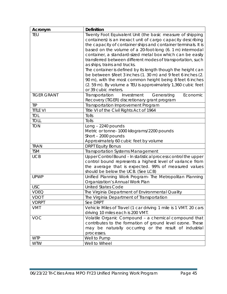| Acronym            | <b>Definition</b>                                               |
|--------------------|-----------------------------------------------------------------|
| <b>TEU</b>         | Twenty Foot Equivalent Unit (the basic measure of shipping      |
|                    | containers) is an inexact unit of cargo capacity describing     |
|                    | the capacity of container ships and container terminals. It is  |
|                    | based on the volume of a 20-foot-long (6. 1 m) intermodal       |
|                    | container, a standard-sized metal box which can be easily       |
|                    | transferred between different modes of transportation, such     |
|                    | as ships, trains and trucks.                                    |
|                    | The container is defined by its length though the height can    |
|                    | be between \$feet 3 inches (1. 30 m) and 9 feet 6 inches (2.    |
|                    | 90 m), with the most common height being 8 feet 6 inches        |
|                    | (2.59 m). By volume a TEU is approximately 1,360 cubic feet     |
|                    | or 39 cubic meters.                                             |
| <b>TIGER GRANT</b> | Transportation<br>Investment<br>Economic<br>Generating          |
|                    | Recovery (TIGER) discretionary grant program                    |
| <b>TIP</b>         | Transportation Improvement Program                              |
| <b>TITLE VI</b>    | Title VI of the Civil Rights Act of 1964                        |
| TOL                | Tolls                                                           |
| <b>TOLL</b>        | Tolls                                                           |
| <b>TON</b>         | Long - 2240 pounds                                              |
|                    | Metric or tonne-1000 kilograms/2200 pounds                      |
|                    | Short - 2000 pounds                                             |
|                    | Approximately 60 cubic feet by volume                           |
| <b>TRAN</b>        | <b>DRPT Equity Bonus</b>                                        |
| <b>TSM</b>         | <b>Transportation Systems Management</b>                        |
| <b>UCB</b>         | Upper Control Bound - In statistical process control the upper  |
|                    | control bound represents a highest level of variance from       |
|                    | the average that is expected. 99% of measured values            |
|                    | should be below the UCB. (See LCB)                              |
| <b>UPWP</b>        | Unified Planning Work Program- The Metropolitan Planning        |
|                    | Organization's Annual Work Plan                                 |
| <b>USC</b>         | <b>United States Code</b>                                       |
| <b>VDEQ</b>        | The Virginia Department of Environmental Quality                |
| <b>VDOT</b>        | The Virginia Department of Transportation                       |
| <b>VDRPT</b>       | See DRPT                                                        |
| <b>VMT</b>         | Vehicle Miles of Travel (1 car driving 1 mile is 1 VMT. 20 cars |
|                    | driving 10 miles each is 200 VMT.                               |
| VOC                | Volatile Organic Compound - a chemical compound that            |
|                    | contributes to the formation of ground level ozone. These       |
|                    | may be naturally occurring or the result of industrial          |
|                    | processes.                                                      |
| <b>WTP</b>         | Well to Pump                                                    |
| <b>WTW</b>         | Well to Wheel                                                   |